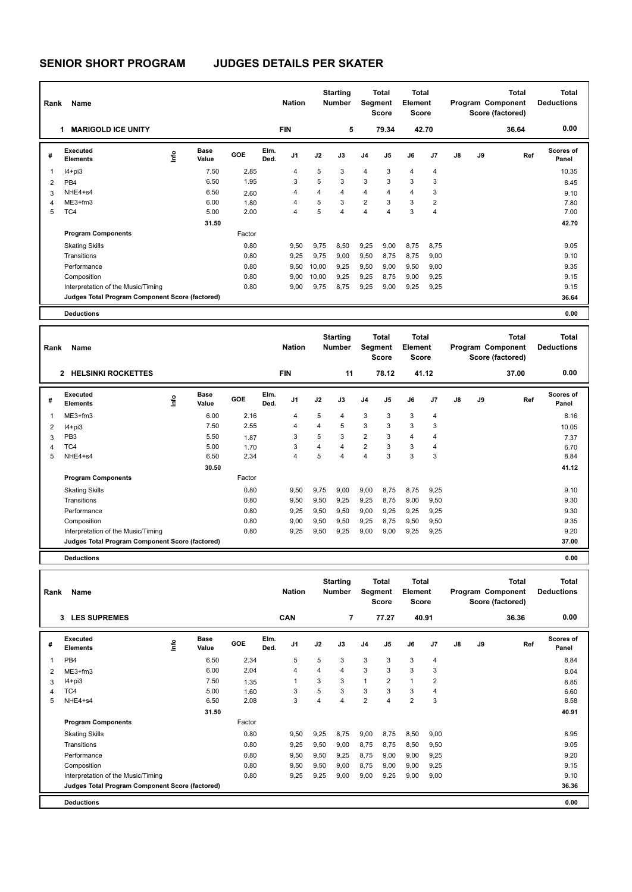| Rank | Name                                            |      |                      |        |              | <b>Nation</b> |       | <b>Starting</b><br><b>Number</b> |                | <b>Total</b><br>Segment<br><b>Score</b> | Total<br>Element<br><b>Score</b> |                |               |    | Total<br>Program Component<br>Score (factored) | <b>Total</b><br><b>Deductions</b> |
|------|-------------------------------------------------|------|----------------------|--------|--------------|---------------|-------|----------------------------------|----------------|-----------------------------------------|----------------------------------|----------------|---------------|----|------------------------------------------------|-----------------------------------|
|      | <b>MARIGOLD ICE UNITY</b><br>1                  |      |                      |        |              | <b>FIN</b>    |       | 5                                |                | 79.34                                   | 42.70                            |                |               |    | 36.64                                          | 0.00                              |
| #    | Executed<br><b>Elements</b>                     | lnfo | <b>Base</b><br>Value | GOE    | Elm.<br>Ded. | J1            | J2    | J3                               | J <sub>4</sub> | J5                                      | J6                               | J <sub>7</sub> | $\mathsf{J}8$ | J9 | Ref                                            | Scores of<br>Panel                |
| 1    | $I4 + pi3$                                      |      | 7.50                 | 2.85   |              | 4             | 5     | 3                                | $\overline{4}$ | 3                                       | $\overline{4}$                   | 4              |               |    |                                                | 10.35                             |
| 2    | PB <sub>4</sub>                                 |      | 6.50                 | 1.95   |              | 3             | 5     | 3                                | 3              | 3                                       | 3                                | 3              |               |    |                                                | 8.45                              |
| 3    | NHE4+s4                                         |      | 6.50                 | 2.60   |              | 4             | 4     | 4                                | $\overline{4}$ | $\overline{4}$                          | $\overline{4}$                   | 3              |               |    |                                                | 9.10                              |
| 4    | $ME3+fm3$                                       |      | 6.00                 | 1.80   |              | 4             | 5     | 3                                | $\overline{2}$ | 3                                       | 3                                | 2              |               |    |                                                | 7.80                              |
| 5    | TC4                                             |      | 5.00                 | 2.00   |              | 4             | 5     | $\overline{4}$                   | $\overline{4}$ | 4                                       | 3                                | 4              |               |    |                                                | 7.00                              |
|      |                                                 |      | 31.50                |        |              |               |       |                                  |                |                                         |                                  |                |               |    |                                                | 42.70                             |
|      | <b>Program Components</b>                       |      |                      | Factor |              |               |       |                                  |                |                                         |                                  |                |               |    |                                                |                                   |
|      | <b>Skating Skills</b>                           |      |                      | 0.80   |              | 9,50          | 9,75  | 8,50                             | 9,25           | 9,00                                    | 8,75                             | 8,75           |               |    |                                                | 9.05                              |
|      | Transitions                                     |      |                      | 0.80   |              | 9,25          | 9.75  | 9,00                             | 9,50           | 8,75                                    | 8,75                             | 9,00           |               |    |                                                | 9.10                              |
|      | Performance                                     |      |                      | 0.80   |              | 9,50          | 10,00 | 9,25                             | 9,50           | 9,00                                    | 9,50                             | 9,00           |               |    |                                                | 9.35                              |
|      | Composition                                     |      |                      | 0.80   |              | 9,00          | 10,00 | 9,25                             | 9,25           | 8,75                                    | 9,00                             | 9,25           |               |    |                                                | 9.15                              |
|      | Interpretation of the Music/Timing              |      |                      | 0.80   |              | 9.00          | 9.75  | 8.75                             | 9,25           | 9,00                                    | 9,25                             | 9,25           |               |    |                                                | 9.15                              |
|      | Judges Total Program Component Score (factored) |      |                      |        |              |               |       |                                  |                |                                         |                                  |                |               |    |                                                | 36.64                             |
|      | <b>Deductions</b>                               |      |                      |        |              |               |       |                                  |                |                                         |                                  |                |               |    |                                                | 0.00                              |

| Rank | Name                                            |      |                      |        |              | <b>Nation</b>  |                | <b>Starting</b><br><b>Number</b> |                | <b>Total</b><br>Segment<br><b>Score</b> | <b>Total</b><br>Element<br><b>Score</b> |                |    |    | <b>Total</b><br>Program Component<br>Score (factored) | <b>Total</b><br><b>Deductions</b> |
|------|-------------------------------------------------|------|----------------------|--------|--------------|----------------|----------------|----------------------------------|----------------|-----------------------------------------|-----------------------------------------|----------------|----|----|-------------------------------------------------------|-----------------------------------|
|      | 2 HELSINKI ROCKETTES                            |      |                      |        |              | <b>FIN</b>     |                | 11                               |                | 78.12                                   |                                         | 41.12          |    |    | 37.00                                                 | 0.00                              |
| #    | Executed<br><b>Elements</b>                     | lnfo | <b>Base</b><br>Value | GOE    | Elm.<br>Ded. | J <sub>1</sub> | J2             | J3                               | J <sub>4</sub> | J <sub>5</sub>                          | J6                                      | J <sub>7</sub> | J8 | J9 | Ref                                                   | <b>Scores of</b><br>Panel         |
|      | $ME3+fm3$                                       |      | 6.00                 | 2.16   |              | 4              | 5              | 4                                | 3              | 3                                       | 3                                       | $\overline{4}$ |    |    |                                                       | 8.16                              |
| 2    | $I4 + pi3$                                      |      | 7.50                 | 2.55   |              | 4              | $\overline{4}$ | 5                                | 3              | 3                                       | 3                                       | 3              |    |    |                                                       | 10.05                             |
| 3    | PB <sub>3</sub>                                 |      | 5.50                 | 1.87   |              | 3              | 5              | 3                                | $\overline{2}$ | 3                                       | 4                                       | 4              |    |    |                                                       | 7.37                              |
| 4    | TC4                                             |      | 5.00                 | 1.70   |              | 3              | $\overline{4}$ | 4                                | $\overline{2}$ | 3                                       | 3                                       | 4              |    |    |                                                       | 6.70                              |
| 5    | NHE4+s4                                         |      | 6.50                 | 2.34   |              | 4              | 5              | 4                                | $\overline{4}$ | 3                                       | 3                                       | 3              |    |    |                                                       | 8.84                              |
|      |                                                 |      | 30.50                |        |              |                |                |                                  |                |                                         |                                         |                |    |    |                                                       | 41.12                             |
|      | <b>Program Components</b>                       |      |                      | Factor |              |                |                |                                  |                |                                         |                                         |                |    |    |                                                       |                                   |
|      | <b>Skating Skills</b>                           |      |                      | 0.80   |              | 9,50           | 9,75           | 9,00                             | 9,00           | 8,75                                    | 8,75                                    | 9,25           |    |    |                                                       | 9.10                              |
|      | Transitions                                     |      |                      | 0.80   |              | 9,50           | 9,50           | 9,25                             | 9,25           | 8,75                                    | 9,00                                    | 9,50           |    |    |                                                       | 9.30                              |
|      | Performance                                     |      |                      | 0.80   |              | 9,25           | 9,50           | 9,50                             | 9,00           | 9,25                                    | 9,25                                    | 9,25           |    |    |                                                       | 9.30                              |
|      | Composition                                     |      |                      | 0.80   |              | 9,00           | 9,50           | 9,50                             | 9,25           | 8,75                                    | 9,50                                    | 9,50           |    |    |                                                       | 9.35                              |
|      | Interpretation of the Music/Timing              |      |                      | 0.80   |              | 9,25           | 9,50           | 9,25                             | 9,00           | 9,00                                    | 9,25                                    | 9,25           |    |    |                                                       | 9.20                              |
|      | Judges Total Program Component Score (factored) |      |                      |        |              |                |                |                                  |                |                                         |                                         |                |    |    |                                                       | 37.00                             |
|      | <b>Deductions</b>                               |      |                      |        |              |                |                |                                  |                |                                         |                                         |                |    |    |                                                       | 0.00                              |

**Total Deductions Total Program Component Score (factored) Total Element Score Total Segment Score Starting Rank Name Nation Number # Executed Elements Base Value GOE J1 J2 J3 J4 J5 J6 J7 J8 J9 Scores of Panel** 1 6.50 2.34 5 5 3 3 3 3 4 **Ref**  8.84 **Elm. Ded.**  PB4 **Info 3 LES SUPREMES CAN 7 77.27 40.91 36.36 0.00** 2 ME3+fm3 6.00 6.00 2.04 4 4 4 3 3 3 3 3 6.04 3 I4+pi3 7.50 1.35 1 3 3 1 2 1 2 8.85 4 TC4 5.00 1.60 3 5 3 3 3 4 5 6.60 5 NHE4+s4 6.50 2.08 3 4 4 2 4 2 3 8.58 **31.50** 40.91 **Program Components**  Skating Skills 8,50 9,25 8,75 9,00 8,75 8,50 9,00 Factor 0.80 9,50 9,25 8,75 9,00 8,75 8,50 9,00 Transitions 0.80 9,25 9,50 9,00 8,75 8,75 8,50 9,50 9.05 Performance 0.80 9,50 9,50 9,25 8,75 9,00 9,00 9,25 9.20 Composition 0.80 9,50 9,50 9,00 8,75 9,00 9,00 9,25 9.15 Interpretation of the Music/Timing 0.80 9,25 9,25 9,00 9,00 9,25 9,00 9,00 9,25 9,000 9,10 **Deductions 0.00 Judges Total Program Component Score (factored) 36.36**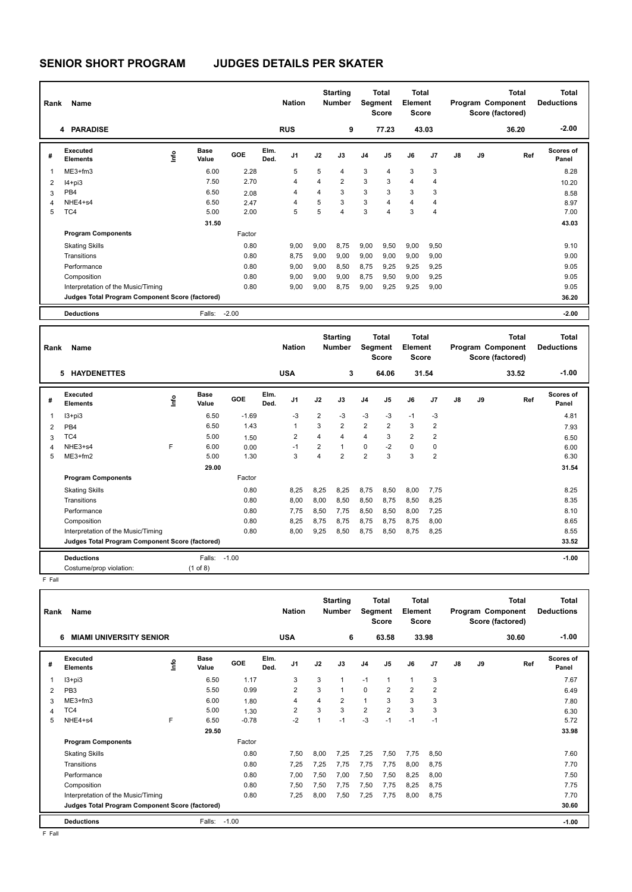| Rank           | Name                                            |      |                      |         |              | <b>Nation</b>  |      | <b>Starting</b><br><b>Number</b> |                | <b>Total</b><br>Segment<br><b>Score</b> | <b>Total</b><br>Element<br><b>Score</b> |                |    |    | <b>Total</b><br>Program Component<br>Score (factored) | <b>Total</b><br><b>Deductions</b> |
|----------------|-------------------------------------------------|------|----------------------|---------|--------------|----------------|------|----------------------------------|----------------|-----------------------------------------|-----------------------------------------|----------------|----|----|-------------------------------------------------------|-----------------------------------|
|                | 4 PARADISE                                      |      |                      |         |              | <b>RUS</b>     |      | 9                                |                | 77.23                                   |                                         | 43.03          |    |    | 36.20                                                 | $-2.00$                           |
| #              | Executed<br><b>Elements</b>                     | lnfo | <b>Base</b><br>Value | GOE     | Elm.<br>Ded. | J <sub>1</sub> | J2   | J3                               | J <sub>4</sub> | J5                                      | J6                                      | J7             | J8 | J9 | Ref                                                   | <b>Scores of</b><br>Panel         |
| $\overline{1}$ | $ME3+fm3$                                       |      | 6.00                 | 2.28    |              | 5              | 5    | 4                                | 3              | $\overline{4}$                          | 3                                       | 3              |    |    |                                                       | 8.28                              |
| $\overline{2}$ | $I4 + pi3$                                      |      | 7.50                 | 2.70    |              | 4              | 4    | $\overline{2}$                   | 3              | 3                                       | 4                                       | $\overline{4}$ |    |    |                                                       | 10.20                             |
| 3              | PB4                                             |      | 6.50                 | 2.08    |              | 4              | 4    | 3                                | 3              | 3                                       | 3                                       | 3              |    |    |                                                       | 8.58                              |
| $\overline{4}$ | NHE4+s4                                         |      | 6.50                 | 2.47    |              | $\overline{4}$ | 5    | 3                                | 3              | $\overline{4}$                          | 4                                       | $\overline{4}$ |    |    |                                                       | 8.97                              |
| 5              | TC4                                             |      | 5.00                 | 2.00    |              | 5              | 5    | $\overline{\mathbf{A}}$          | 3              | 4                                       | 3                                       | 4              |    |    |                                                       | 7.00                              |
|                |                                                 |      | 31.50                |         |              |                |      |                                  |                |                                         |                                         |                |    |    |                                                       | 43.03                             |
|                | <b>Program Components</b>                       |      |                      | Factor  |              |                |      |                                  |                |                                         |                                         |                |    |    |                                                       |                                   |
|                | <b>Skating Skills</b>                           |      |                      | 0.80    |              | 9,00           | 9,00 | 8,75                             | 9,00           | 9,50                                    | 9,00                                    | 9,50           |    |    |                                                       | 9.10                              |
|                | Transitions                                     |      |                      | 0.80    |              | 8,75           | 9.00 | 9,00                             | 9,00           | 9,00                                    | 9,00                                    | 9,00           |    |    |                                                       | 9.00                              |
|                | Performance                                     |      |                      | 0.80    |              | 9,00           | 9,00 | 8,50                             | 8,75           | 9,25                                    | 9,25                                    | 9,25           |    |    |                                                       | 9.05                              |
|                | Composition                                     |      |                      | 0.80    |              | 9,00           | 9,00 | 9,00                             | 8,75           | 9,50                                    | 9,00                                    | 9,25           |    |    |                                                       | 9.05                              |
|                | Interpretation of the Music/Timing              |      |                      | 0.80    |              | 9,00           | 9,00 | 8,75                             | 9,00           | 9,25                                    | 9,25                                    | 9,00           |    |    |                                                       | 9.05                              |
|                | Judges Total Program Component Score (factored) |      |                      |         |              |                |      |                                  |                |                                         |                                         |                |    |    |                                                       | 36.20                             |
|                | <b>Deductions</b>                               |      | Falls:               | $-2.00$ |              |                |      |                                  |                |                                         |                                         |                |    |    |                                                       | $-2.00$                           |

| Rank | Name                                            |      |                      |         |              | <b>Nation</b>  |      | <b>Starting</b><br><b>Number</b> | Segment        | <b>Total</b><br>Score | <b>Total</b><br>Element<br><b>Score</b> |                |    |    | <b>Total</b><br>Program Component<br>Score (factored) | <b>Total</b><br><b>Deductions</b> |
|------|-------------------------------------------------|------|----------------------|---------|--------------|----------------|------|----------------------------------|----------------|-----------------------|-----------------------------------------|----------------|----|----|-------------------------------------------------------|-----------------------------------|
|      | <b>HAYDENETTES</b><br>5                         |      |                      |         |              | <b>USA</b>     |      | 3                                |                | 64.06                 |                                         | 31.54          |    |    | 33.52                                                 | $-1.00$                           |
| #    | Executed<br><b>Elements</b>                     | ١nf٥ | <b>Base</b><br>Value | GOE     | Elm.<br>Ded. | J <sub>1</sub> | J2   | J3                               | J <sub>4</sub> | J <sub>5</sub>        | J6                                      | J7             | J8 | J9 | Ref                                                   | <b>Scores of</b><br>Panel         |
|      | $13 + pi3$                                      |      | 6.50                 | $-1.69$ |              | $-3$           | 2    | $-3$                             | $-3$           | $-3$                  | $-1$                                    | $-3$           |    |    |                                                       | 4.81                              |
| 2    | PB <sub>4</sub>                                 |      | 6.50                 | 1.43    |              | $\overline{1}$ | 3    | $\overline{2}$                   | $\overline{2}$ | $\overline{2}$        | 3                                       | $\overline{2}$ |    |    |                                                       | 7.93                              |
| 3    | TC4                                             |      | 5.00                 | 1.50    |              | 2              | 4    | 4                                | $\overline{4}$ | 3                     | $\overline{2}$                          | $\overline{2}$ |    |    |                                                       | 6.50                              |
| 4    | NHE3+s4                                         | F    | 6.00                 | 0.00    |              | -1             | 2    | 1                                | 0              | $-2$                  | $\mathbf 0$                             | 0              |    |    |                                                       | 6.00                              |
| 5    | ME3+fm2                                         |      | 5.00                 | 1.30    |              | 3              | 4    | $\overline{2}$                   | $\overline{2}$ | 3                     | 3                                       | $\overline{2}$ |    |    |                                                       | 6.30                              |
|      |                                                 |      | 29.00                |         |              |                |      |                                  |                |                       |                                         |                |    |    |                                                       | 31.54                             |
|      | <b>Program Components</b>                       |      |                      | Factor  |              |                |      |                                  |                |                       |                                         |                |    |    |                                                       |                                   |
|      | <b>Skating Skills</b>                           |      |                      | 0.80    |              | 8,25           | 8,25 | 8,25                             | 8,75           | 8,50                  | 8,00                                    | 7,75           |    |    |                                                       | 8.25                              |
|      | Transitions                                     |      |                      | 0.80    |              | 8,00           | 8,00 | 8,50                             | 8,50           | 8,75                  | 8,50                                    | 8,25           |    |    |                                                       | 8.35                              |
|      | Performance                                     |      |                      | 0.80    |              | 7,75           | 8,50 | 7,75                             | 8,50           | 8,50                  | 8,00                                    | 7,25           |    |    |                                                       | 8.10                              |
|      | Composition                                     |      |                      | 0.80    |              | 8,25           | 8,75 | 8,75                             | 8,75           | 8,75                  | 8,75                                    | 8,00           |    |    |                                                       | 8.65                              |
|      | Interpretation of the Music/Timing              |      |                      | 0.80    |              | 8,00           | 9,25 | 8,50                             | 8,75           | 8,50                  | 8,75                                    | 8,25           |    |    |                                                       | 8.55                              |
|      | Judges Total Program Component Score (factored) |      |                      |         |              |                |      |                                  |                |                       |                                         |                |    |    |                                                       | 33.52                             |
|      | <b>Deductions</b>                               |      | Falls:               | $-1.00$ |              |                |      |                                  |                |                       |                                         |                |    |    |                                                       | $-1.00$                           |
|      | Costume/prop violation:                         |      | $(1 \text{ of } 8)$  |         |              |                |      |                                  |                |                       |                                         |                |    |    |                                                       |                                   |

F Fall

| Rank | Name                                            |      |                      |         |              | <b>Nation</b>  |      | <b>Starting</b><br><b>Number</b> | Segment        | Total<br><b>Score</b> | Total<br>Element<br><b>Score</b> |                |               |    | Total<br>Program Component<br>Score (factored) | <b>Total</b><br><b>Deductions</b> |
|------|-------------------------------------------------|------|----------------------|---------|--------------|----------------|------|----------------------------------|----------------|-----------------------|----------------------------------|----------------|---------------|----|------------------------------------------------|-----------------------------------|
|      | <b>MIAMI UNIVERSITY SENIOR</b><br>6             |      |                      |         |              | <b>USA</b>     |      | 6                                |                | 63.58                 | 33.98                            |                |               |    | 30.60                                          | $-1.00$                           |
| #    | Executed<br><b>Elements</b>                     | lnfo | <b>Base</b><br>Value | GOE     | Elm.<br>Ded. | J1             | J2   | J3                               | J <sub>4</sub> | J5                    | J6                               | J7             | $\mathsf{J}8$ | J9 | Ref                                            | <b>Scores of</b><br>Panel         |
| 1    | I3+pi3                                          |      | 6.50                 | 1.17    |              | 3              | 3    | 1                                | $-1$           |                       | $\mathbf{1}$                     | 3              |               |    |                                                | 7.67                              |
| 2    | PB <sub>3</sub>                                 |      | 5.50                 | 0.99    |              | $\overline{2}$ | 3    | 1                                | $\mathbf 0$    | 2                     | $\overline{2}$                   | $\overline{2}$ |               |    |                                                | 6.49                              |
| 3    | ME3+fm3                                         |      | 6.00                 | 1.80    |              | 4              | 4    | 2                                | 1              | 3                     | 3                                | 3              |               |    |                                                | 7.80                              |
| 4    | TC4                                             |      | 5.00                 | 1.30    |              | 2              | 3    | 3                                | $\overline{2}$ | 2                     | 3                                | 3              |               |    |                                                | 6.30                              |
| 5    | NHE4+s4                                         | F    | 6.50                 | $-0.78$ |              | $-2$           |      | $-1$                             | -3             | $-1$                  | $-1$                             | $-1$           |               |    |                                                | 5.72                              |
|      |                                                 |      | 29.50                |         |              |                |      |                                  |                |                       |                                  |                |               |    |                                                | 33.98                             |
|      | <b>Program Components</b>                       |      |                      | Factor  |              |                |      |                                  |                |                       |                                  |                |               |    |                                                |                                   |
|      | <b>Skating Skills</b>                           |      |                      | 0.80    |              | 7,50           | 8,00 | 7.25                             | 7,25           | 7,50                  | 7,75                             | 8,50           |               |    |                                                | 7.60                              |
|      | Transitions                                     |      |                      | 0.80    |              | 7,25           | 7,25 | 7,75                             | 7,75           | 7,75                  | 8,00                             | 8,75           |               |    |                                                | 7.70                              |
|      | Performance                                     |      |                      | 0.80    |              | 7,00           | 7,50 | 7,00                             | 7,50           | 7,50                  | 8,25                             | 8,00           |               |    |                                                | 7.50                              |
|      | Composition                                     |      |                      | 0.80    |              | 7,50           | 7,50 | 7,75                             | 7,50           | 7,75                  | 8,25                             | 8,75           |               |    |                                                | 7.75                              |
|      | Interpretation of the Music/Timing              |      |                      | 0.80    |              | 7,25           | 8,00 | 7,50                             | 7,25           | 7,75                  | 8,00                             | 8,75           |               |    |                                                | 7.70                              |
|      | Judges Total Program Component Score (factored) |      |                      |         |              |                |      |                                  |                |                       |                                  |                |               |    |                                                | 30.60                             |
|      | <b>Deductions</b>                               |      | Falls:               | $-1.00$ |              |                |      |                                  |                |                       |                                  |                |               |    |                                                | $-1.00$                           |

F Fall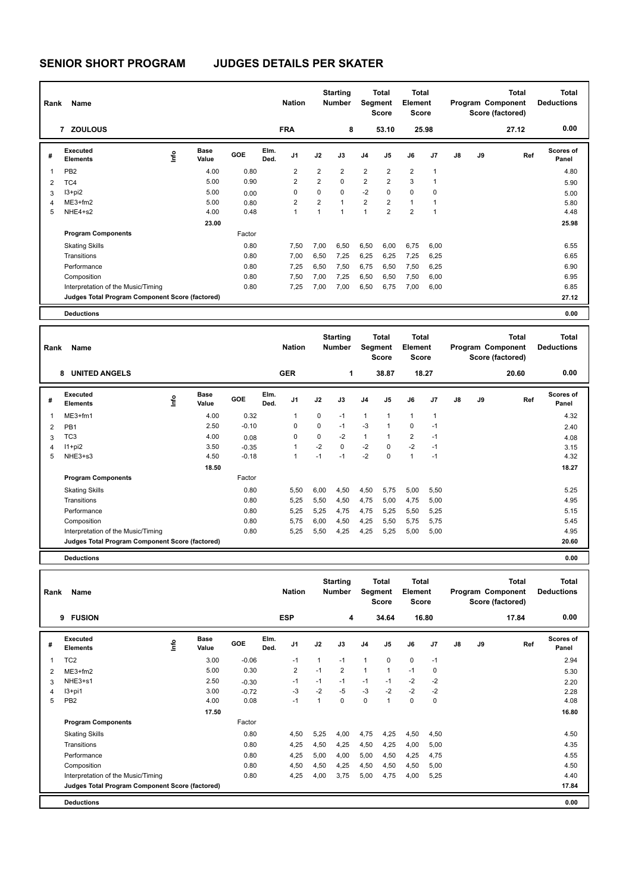| Rank | Name                                            |                                  |                      |        |              | <b>Nation</b>  |                | <b>Starting</b><br><b>Number</b> |                | Total<br>Segment<br><b>Score</b> | Total<br>Element<br><b>Score</b> |             |    |    | Total<br>Program Component<br>Score (factored) | <b>Total</b><br><b>Deductions</b> |
|------|-------------------------------------------------|----------------------------------|----------------------|--------|--------------|----------------|----------------|----------------------------------|----------------|----------------------------------|----------------------------------|-------------|----|----|------------------------------------------------|-----------------------------------|
|      | 7 ZOULOUS                                       |                                  |                      |        |              | <b>FRA</b>     |                | 8                                |                | 53.10                            |                                  | 25.98       |    |    | 27.12                                          | 0.00                              |
| #    | Executed<br><b>Elements</b>                     | $\mathop{\mathsf{Irr}}\nolimits$ | <b>Base</b><br>Value | GOE    | Elm.<br>Ded. | J <sub>1</sub> | J2             | J3                               | J <sub>4</sub> | J5                               | J6                               | J7          | J8 | J9 | Ref                                            | <b>Scores of</b><br>Panel         |
| 1    | PB <sub>2</sub>                                 |                                  | 4.00                 | 0.80   |              | 2              | 2              | $\overline{2}$                   | $\overline{2}$ | $\overline{2}$                   | $\overline{2}$                   |             |    |    |                                                | 4.80                              |
| 2    | TC4                                             |                                  | 5.00                 | 0.90   |              | 2              | $\overline{2}$ | $\Omega$                         | $\overline{2}$ | $\overline{2}$                   | 3                                |             |    |    |                                                | 5.90                              |
| 3    | $13 + pi2$                                      |                                  | 5.00                 | 0.00   |              | 0              | 0              | 0                                | $-2$           | 0                                | 0                                | 0           |    |    |                                                | 5.00                              |
| 4    | $ME3+fm2$                                       |                                  | 5.00                 | 0.80   |              | 2              | 2              | $\overline{1}$                   | $\overline{2}$ | 2                                | 1                                |             |    |    |                                                | 5.80                              |
| 5    | NHE4+s2                                         |                                  | 4.00                 | 0.48   |              | 1              | 1              | $\overline{\mathbf{1}}$          | $\mathbf{1}$   | $\overline{2}$                   | $\overline{2}$                   | $\mathbf 1$ |    |    |                                                | 4.48                              |
|      |                                                 |                                  | 23.00                |        |              |                |                |                                  |                |                                  |                                  |             |    |    |                                                | 25.98                             |
|      | <b>Program Components</b>                       |                                  |                      | Factor |              |                |                |                                  |                |                                  |                                  |             |    |    |                                                |                                   |
|      | <b>Skating Skills</b>                           |                                  |                      | 0.80   |              | 7,50           | 7,00           | 6,50                             | 6,50           | 6,00                             | 6,75                             | 6,00        |    |    |                                                | 6.55                              |
|      | Transitions                                     |                                  |                      | 0.80   |              | 7,00           | 6,50           | 7,25                             | 6,25           | 6,25                             | 7,25                             | 6,25        |    |    |                                                | 6.65                              |
|      | Performance                                     |                                  |                      | 0.80   |              | 7,25           | 6,50           | 7,50                             | 6,75           | 6,50                             | 7,50                             | 6,25        |    |    |                                                | 6.90                              |
|      | Composition                                     |                                  |                      | 0.80   |              | 7,50           | 7,00           | 7,25                             | 6,50           | 6,50                             | 7,50                             | 6,00        |    |    |                                                | 6.95                              |
|      | Interpretation of the Music/Timing              |                                  |                      | 0.80   |              | 7,25           | 7,00           | 7,00                             | 6,50           | 6,75                             | 7,00                             | 6,00        |    |    |                                                | 6.85                              |
|      | Judges Total Program Component Score (factored) |                                  |                      |        |              |                |                |                                  |                |                                  |                                  |             |    |    |                                                | 27.12                             |
|      | <b>Deductions</b>                               |                                  |                      |        |              |                |                |                                  |                |                                  |                                  |             |    |    |                                                | 0.00                              |

| Rank           | Name                                            |      |                      |            |              | <b>Nation</b>  |      | <b>Starting</b><br><b>Number</b> |                | <b>Total</b><br>Segment<br><b>Score</b> | Total<br>Element<br><b>Score</b> |       |               |    | <b>Total</b><br>Program Component<br>Score (factored) | <b>Total</b><br><b>Deductions</b> |
|----------------|-------------------------------------------------|------|----------------------|------------|--------------|----------------|------|----------------------------------|----------------|-----------------------------------------|----------------------------------|-------|---------------|----|-------------------------------------------------------|-----------------------------------|
|                | <b>UNITED ANGELS</b><br>8                       |      |                      |            |              | <b>GER</b>     |      | 1                                |                | 38.87                                   |                                  | 18.27 |               |    | 20.60                                                 | 0.00                              |
| #              | Executed<br><b>Elements</b>                     | ١nf٥ | <b>Base</b><br>Value | <b>GOE</b> | Elm.<br>Ded. | J <sub>1</sub> | J2   | J3                               | J <sub>4</sub> | J <sub>5</sub>                          | J6                               | J7    | $\mathsf{J}8$ | J9 | Ref                                                   | <b>Scores of</b><br>Panel         |
|                | $ME3+fm1$                                       |      | 4.00                 | 0.32       |              | 1              | 0    | $-1$                             | $\mathbf{1}$   | $\mathbf{1}$                            | $\mathbf{1}$                     |       |               |    |                                                       | 4.32                              |
| 2              | PB <sub>1</sub>                                 |      | 2.50                 | $-0.10$    |              | 0              | 0    | $-1$                             | $-3$           | $\mathbf{1}$                            | $\mathbf 0$                      | $-1$  |               |    |                                                       | 2.40                              |
| 3              | TC <sub>3</sub>                                 |      | 4.00                 | 0.08       |              | 0              | 0    | $-2$                             | $\mathbf{1}$   | 1                                       | $\overline{2}$                   | $-1$  |               |    |                                                       | 4.08                              |
| $\overline{4}$ | $11+pi2$                                        |      | 3.50                 | $-0.35$    |              |                | $-2$ | $\mathbf 0$                      | $-2$           | $\mathbf 0$                             | $-2$                             | $-1$  |               |    |                                                       | 3.15                              |
| 5              | NHE3+s3                                         |      | 4.50                 | $-0.18$    |              |                | $-1$ | $-1$                             | $-2$           | $\Omega$                                | $\mathbf{1}$                     | $-1$  |               |    |                                                       | 4.32                              |
|                |                                                 |      | 18.50                |            |              |                |      |                                  |                |                                         |                                  |       |               |    |                                                       | 18.27                             |
|                | <b>Program Components</b>                       |      |                      | Factor     |              |                |      |                                  |                |                                         |                                  |       |               |    |                                                       |                                   |
|                | <b>Skating Skills</b>                           |      |                      | 0.80       |              | 5,50           | 6,00 | 4,50                             | 4,50           | 5,75                                    | 5,00                             | 5,50  |               |    |                                                       | 5.25                              |
|                | Transitions                                     |      |                      | 0.80       |              | 5,25           | 5,50 | 4,50                             | 4,75           | 5,00                                    | 4,75                             | 5,00  |               |    |                                                       | 4.95                              |
|                | Performance                                     |      |                      | 0.80       |              | 5,25           | 5,25 | 4,75                             | 4,75           | 5,25                                    | 5,50                             | 5,25  |               |    |                                                       | 5.15                              |
|                | Composition                                     |      |                      | 0.80       |              | 5,75           | 6,00 | 4,50                             | 4,25           | 5,50                                    | 5,75                             | 5,75  |               |    |                                                       | 5.45                              |
|                | Interpretation of the Music/Timing              |      |                      | 0.80       |              | 5,25           | 5,50 | 4,25                             | 4,25           | 5,25                                    | 5,00                             | 5,00  |               |    |                                                       | 4.95                              |
|                | Judges Total Program Component Score (factored) |      |                      |            |              |                |      |                                  |                |                                         |                                  |       |               |    |                                                       | 20.60                             |
|                | <b>Deductions</b>                               |      |                      |            |              |                |      |                                  |                |                                         |                                  |       |               |    |                                                       | 0.00                              |

| Rank | Name                                            |      |               |         |              | <b>Nation</b>  |      | <b>Starting</b><br>Number |                | <b>Total</b><br>Segment<br><b>Score</b> | <b>Total</b><br>Element<br><b>Score</b> |       |               |    | <b>Total</b><br>Program Component<br>Score (factored) | <b>Total</b><br><b>Deductions</b> |
|------|-------------------------------------------------|------|---------------|---------|--------------|----------------|------|---------------------------|----------------|-----------------------------------------|-----------------------------------------|-------|---------------|----|-------------------------------------------------------|-----------------------------------|
|      | <b>FUSION</b><br>9                              |      |               |         |              | <b>ESP</b>     |      | 4                         |                | 34.64                                   |                                         | 16.80 |               |    | 17.84                                                 | 0.00                              |
| #    | Executed<br><b>Elements</b>                     | lnfo | Base<br>Value | GOE     | Elm.<br>Ded. | J <sub>1</sub> | J2   | J3                        | J <sub>4</sub> | J5                                      | J6                                      | J7    | $\mathsf{J}8$ | J9 | Ref                                                   | Scores of<br>Panel                |
| 1    | TC <sub>2</sub>                                 |      | 3.00          | $-0.06$ |              | $-1$           | 1    | $-1$                      | $\mathbf{1}$   | 0                                       | $\mathbf 0$                             | $-1$  |               |    |                                                       | 2.94                              |
| 2    | $ME3+fm2$                                       |      | 5.00          | 0.30    |              | 2              | $-1$ | $\overline{2}$            | $\mathbf{1}$   | 1                                       | $-1$                                    | 0     |               |    |                                                       | 5.30                              |
| 3    | NHE3+s1                                         |      | 2.50          | $-0.30$ |              | $-1$           | $-1$ | $-1$                      | $-1$           | $-1$                                    | $-2$                                    | $-2$  |               |    |                                                       | 2.20                              |
| 4    | $13+pi1$                                        |      | 3.00          | $-0.72$ |              | -3             | $-2$ | -5                        | $-3$           | $-2$                                    | $-2$                                    | $-2$  |               |    |                                                       | 2.28                              |
| 5    | PB <sub>2</sub>                                 |      | 4.00          | 0.08    |              | $-1$           | 1    | $\mathbf 0$               | $\Omega$       | 1                                       | $\Omega$                                | 0     |               |    |                                                       | 4.08                              |
|      |                                                 |      | 17.50         |         |              |                |      |                           |                |                                         |                                         |       |               |    |                                                       | 16.80                             |
|      | <b>Program Components</b>                       |      |               | Factor  |              |                |      |                           |                |                                         |                                         |       |               |    |                                                       |                                   |
|      | <b>Skating Skills</b>                           |      |               | 0.80    |              | 4,50           | 5,25 | 4,00                      | 4,75           | 4,25                                    | 4,50                                    | 4,50  |               |    |                                                       | 4.50                              |
|      | Transitions                                     |      |               | 0.80    |              | 4,25           | 4,50 | 4,25                      | 4,50           | 4,25                                    | 4,00                                    | 5,00  |               |    |                                                       | 4.35                              |
|      | Performance                                     |      |               | 0.80    |              | 4,25           | 5,00 | 4,00                      | 5,00           | 4,50                                    | 4,25                                    | 4,75  |               |    |                                                       | 4.55                              |
|      | Composition                                     |      |               | 0.80    |              | 4,50           | 4,50 | 4,25                      | 4,50           | 4,50                                    | 4,50                                    | 5,00  |               |    |                                                       | 4.50                              |
|      | Interpretation of the Music/Timing              |      |               | 0.80    |              | 4,25           | 4,00 | 3,75                      | 5,00           | 4,75                                    | 4,00                                    | 5,25  |               |    |                                                       | 4.40                              |
|      | Judges Total Program Component Score (factored) |      |               |         |              |                |      |                           |                |                                         |                                         |       |               |    |                                                       | 17.84                             |
|      | <b>Deductions</b>                               |      |               |         |              |                |      |                           |                |                                         |                                         |       |               |    |                                                       | 0.00                              |